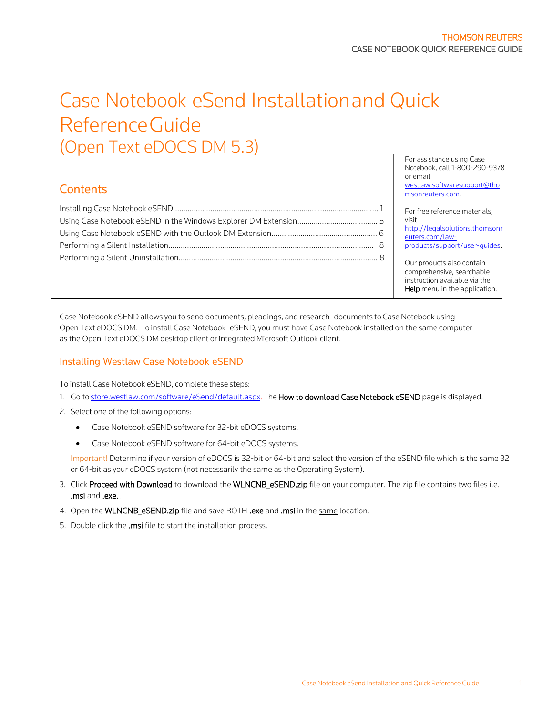# Case Notebook eSend Installationand Quick ReferenceGuide (Open Text eDOCS DM 5.3)

# **Contents**

For assistance using Case Notebook, call 1-800-290-9378 or email [westlaw.softwaresupport@tho](mailto:westlaw.softwaresupport@thomsonreuters.com) [msonreuters.com.](mailto:westlaw.softwaresupport@thomsonreuters.com)

For free reference materials, visit [http://legalsolutions.thomsonr](http://legalsolutions.thomsonreuters.com/law-products/support/user-guides) [euters.com/law](http://legalsolutions.thomsonreuters.com/law-products/support/user-guides)[products/support/user-guides.](http://legalsolutions.thomsonreuters.com/law-products/support/user-guides)

Our products also contain comprehensive, searchable instruction available via the Help menu in the application.

Case Notebook eSEND allows you to send documents, pleadings, and research documents to Case Notebook using Open Text eDOCS DM. To install Case Notebook eSEND, you must have Case Notebook installed on the same computer as the Open Text eDOCS DM desktop client or integrated Microsoft Outlook client.

# <span id="page-0-0"></span>Installing Westlaw Case Notebook eSEND

To install Case Notebook eSEND, complete these steps:

- 1. Go to [store.westlaw.com/software/eSend/default.aspx.](http://store.westlaw.com/software/eSend/default.aspx) The How to download Case Notebook eSEND page is displayed.
- 2. Select one of the following options:
	- Case Notebook eSEND software for 32-bit eDOCS systems.
	- Case Notebook eSEND software for 64-bit eDOCS systems.

Important! Determine if your version of eDOCS is 32-bit or 64-bit and select the version of the eSEND file which is the same 32 or 64-bit as your eDOCS system (not necessarily the same as the Operating System).

- 3. Click Proceed with Download to download the WLNCNB\_eSEND.zip file on your computer. The zip file contains two files i.e. .msi and .exe.
- 4. Open the WLNCNB\_eSEND.zip file and save BOTH .exe and .msi in the same location.
- 5. Double click the .msi file to start the installation process.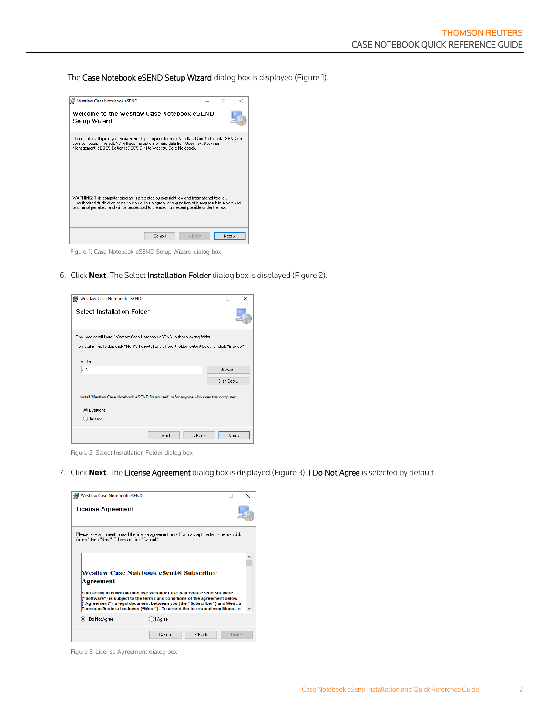The Case Notebook eSEND Setup Wizard dialog box is displayed (Figure 1).

| <b>Westlaw Case Notebook eSEND</b>                                                                                                                                                                                                                                                                    |        |        |        | × |
|-------------------------------------------------------------------------------------------------------------------------------------------------------------------------------------------------------------------------------------------------------------------------------------------------------|--------|--------|--------|---|
| Welcome to the Westlaw Case Notebook eSEND<br>Setup Wizard                                                                                                                                                                                                                                            |        |        |        |   |
| The installer will quide you through the steps required to install Westlaw Case Notebook eSEND on<br>your computer. The eSEND will add the option to send data from OpenText Document<br>Management, eDOCS Edition (eDOCS DM) to Westlaw Case Notebook.                                               |        |        |        |   |
| WARNING: This computer program is protected by copyright law and international treaties.<br>Unauthorized duplication or distribution of this program, or any portion of it, may result in severe civil<br>or criminal penalties, and will be prosecuted to the maximum extent possible under the law. |        |        |        |   |
|                                                                                                                                                                                                                                                                                                       | Cancel | < Back | Next > |   |

Figure 1. Case Notebook eSEND Setup Wizard dialog box

6. Click **Next**. The Select Installation Folder dialog box is displayed (Figure 2).

| Westlaw Case Notebook eSEND                                                                                               |        |        |           | ×      |
|---------------------------------------------------------------------------------------------------------------------------|--------|--------|-----------|--------|
| <b>Select Installation Folder</b>                                                                                         |        |        |           |        |
| The installer will install Westlaw Case Notebook eSEND to the following folder.                                           |        |        |           |        |
| To install in this folder, click "Next". To install to a different folder, enter it below or click "Browse",              |        |        |           |        |
| Folder:<br>b٨                                                                                                             |        |        | Browse    |        |
|                                                                                                                           |        |        | Disk Cost |        |
| Install Westlaw Case Notebook eSEND for yourself, or for anyone who uses this computer:<br><b>●</b> Everyone<br>○ Just me |        |        |           |        |
|                                                                                                                           | Cancel | < Back |           | Next > |

Figure 2. Select Installation Folder dialog box

7. Click **Next**. The License Agreement dialog box is displayed (Figure 3). I Do Not Agree is selected by default.

| Westlaw Case Notebook eSEND                    |                                                                                                                                                                                                                                                                                                                |  | × |
|------------------------------------------------|----------------------------------------------------------------------------------------------------------------------------------------------------------------------------------------------------------------------------------------------------------------------------------------------------------------|--|---|
| License Agreement                              |                                                                                                                                                                                                                                                                                                                |  |   |
| Agree", then "Next". Otherwise click "Cancel". | Please take a moment to read the license agreement now. If you accept the terms below, click "I                                                                                                                                                                                                                |  |   |
|                                                |                                                                                                                                                                                                                                                                                                                |  |   |
|                                                |                                                                                                                                                                                                                                                                                                                |  |   |
| Agreement                                      | Westlaw Case Notebook eSend® Subscriber                                                                                                                                                                                                                                                                        |  |   |
|                                                | Your ability to download and use Westlaw Case Notebook eSend Software<br>("Software") is subject to the terms and conditions of the agreement below<br>("Agreement"), a legal document between you (the "Subscriber") and West, a<br>Thomson Reuters business ("West"). To accept the terms and conditions, to |  |   |
| O I Do Not Agree                               | )   Agree                                                                                                                                                                                                                                                                                                      |  |   |

Figure 3. License Agreement dialog box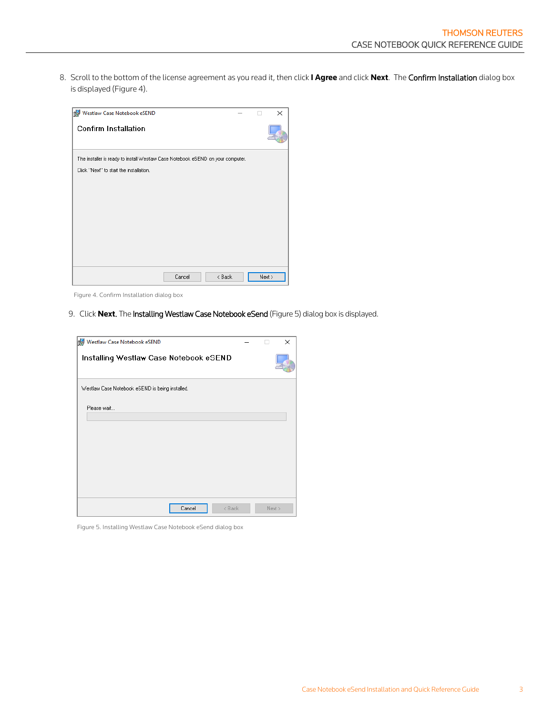8. Scroll to the bottom of the license agreement as you read it, then click **I Agree** and click **Next**. The Confirm Installation dialog box is displayed (Figure 4).

| Westlaw Case Notebook eSEND                                                     | ×    |
|---------------------------------------------------------------------------------|------|
| <b>Confirm Installation</b>                                                     |      |
| The installer is ready to install Westlaw Case Notebook eSEND on your computer. |      |
| Click "Next" to start the installation.                                         |      |
|                                                                                 |      |
|                                                                                 |      |
|                                                                                 |      |
|                                                                                 |      |
|                                                                                 |      |
|                                                                                 |      |
|                                                                                 |      |
| < Back<br>Cancel                                                                | Next |

Figure 4. Confirm Installation dialog box

9. Click **Next**. The Installing Westlaw Case Notebook eSend (Figure 5) dialog box is displayed.

| Westlaw Case Notebook eSEND                     |  | ×      |
|-------------------------------------------------|--|--------|
| Installing Westlaw Case Notebook eSEND          |  |        |
| Westlaw Case Notebook eSEND is being installed. |  |        |
| Please wait                                     |  |        |
| Cancel<br>< Back                                |  | Next > |

Figure 5. Installing Westlaw Case Notebook eSend dialog box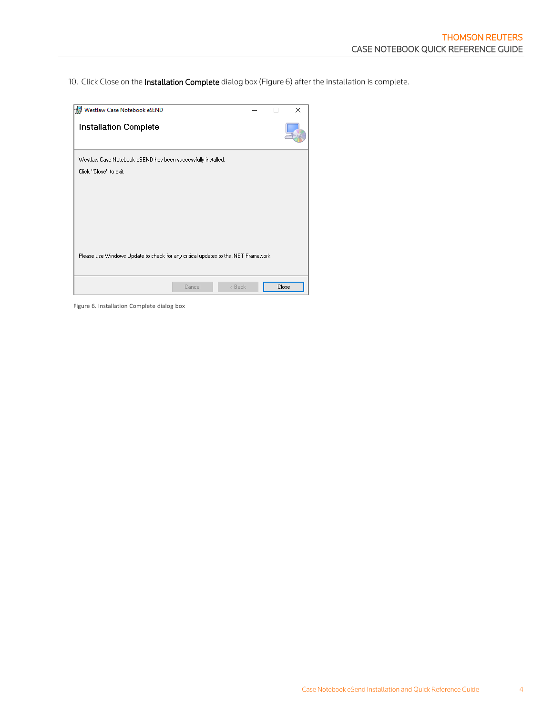10. Click Close on the Installation Complete dialog box (Figure 6) after the installation is complete.

| Westlaw Case Notebook eSEND                                                        |  | ×     |
|------------------------------------------------------------------------------------|--|-------|
| Installation Complete                                                              |  |       |
| Westlaw Case Notebook eSEND has been successfully installed.                       |  |       |
| Click "Close" to exit.                                                             |  |       |
|                                                                                    |  |       |
|                                                                                    |  |       |
|                                                                                    |  |       |
|                                                                                    |  |       |
|                                                                                    |  |       |
| Please use Windows Update to check for any critical updates to the .NET Framework. |  |       |
|                                                                                    |  |       |
| < Back<br>Cancel                                                                   |  | Close |

Figure 6. Installation Complete dialog box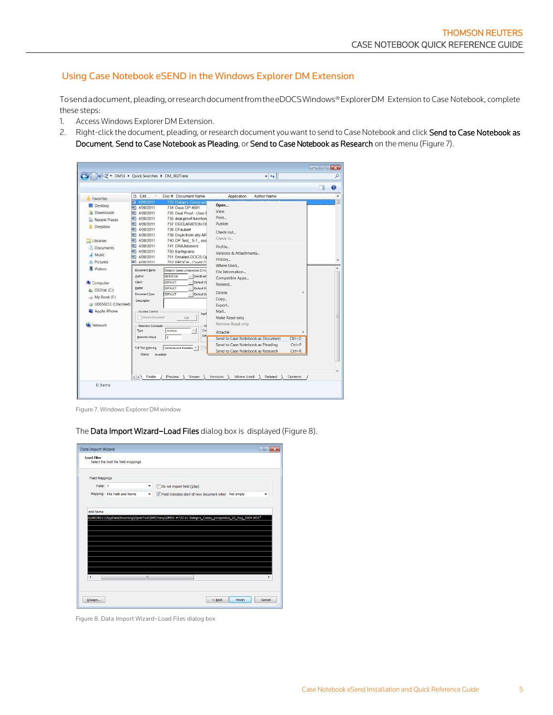#### <span id="page-4-0"></span>Using Case Notebook eSEND in the Windows Explorer DM Extension

Tosendadocument,pleading,orresearchdocumentfromtheeDOCSWindows®ExplorerDM Extension to Case Notebook, complete these steps:

- 1. Access Windows Explorer DM Extension.
- 2. Right-click the document, pleading, or research document you want to send to Case Notebook and click Send to Case Notebook as Document, Send to Case Notebook as Pleading, or Send to Case Notebook as Research on the menu (Figure 7).



Figure 7. Windows Explorer DM window

The Data Import Wizard–Load Files dialog box is displayed (Figure 8).



Figure 8. Data Import Wizard–Load Files dialog box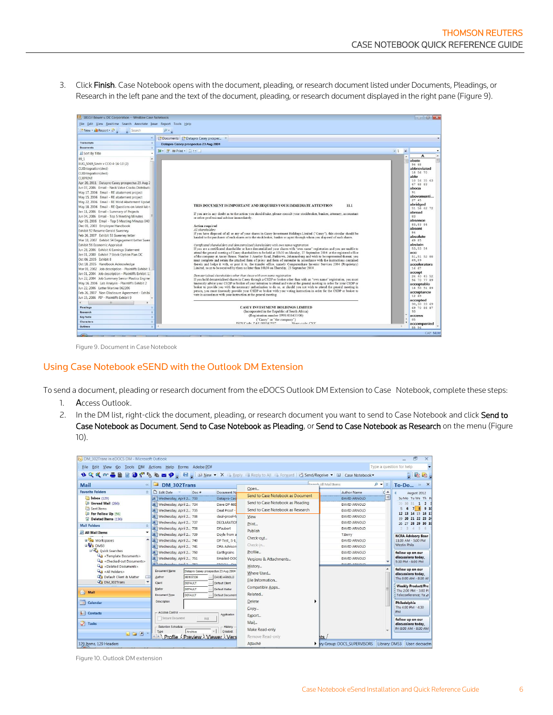3. Click Finish. Case Notebook opens with the document, pleading, or research document listed under Documents, Pleadings, or Research in the left pane and the text of the document, pleading, or research document displayed in the right pane (Figure 9).



Figure 9. Document in Case Notebook

# <span id="page-5-0"></span>Using Case Notebook eSEND with the Outlook DM Extension

To send a document, pleading or research document from the eDOCS Outlook DM Extension to Case Notebook, complete these steps:

- 1. Access Outlook.
- 2. In the DM list, right-click the document, pleading, or research document you want to send to Case Notebook and click Send to Case Notebook as Document, Send to Case Notebook as Pleading, or Send to Case Notebook as Research on the menu (Figure 10).

| (V) DM 302Trans in eDOCS DM - Microsoft Outlook<br>File Edit View Go Tools DM Actions Help Forms Adobe PDF                      |                                                                                                                                                                     |                                                                        |                                                           | Type a question for help                                                           |
|---------------------------------------------------------------------------------------------------------------------------------|---------------------------------------------------------------------------------------------------------------------------------------------------------------------|------------------------------------------------------------------------|-----------------------------------------------------------|------------------------------------------------------------------------------------|
|                                                                                                                                 | <b>N Q Q 60 B B &amp; O { R &amp; B &amp; 9</b> E B & Dew <b>v</b> X & Beply @ Reply to All & For <u>w</u> ard B <b>Send/Receive v</b>   W   Case Notebook <b>v</b> |                                                                        |                                                           | $-$ 2 $-$                                                                          |
| <b>Mail</b><br>$\ll$                                                                                                            | DM 302Trans                                                                                                                                                         | Open                                                                   | Soorch All Mail Items<br>$\rho$ -<br>$\check{\mathbf{v}}$ | To-Do $\times$ X                                                                   |
| <b>Favorite Folders</b><br>$\hat{\mathbf{z}}$<br>Inbox (129)<br>D Unread Mail (266)                                             | <b>D</b> Edit Date<br>Doc #<br>Document N<br>M   Wednesday, April 2 733<br>Datapro Cas                                                                              | Send to Case Notebook as Document<br>Send to Case Notebook as Pleading | $c -$<br><b>Author Name</b><br><b>DAVID ARNOLD</b>        | August 2012<br>Su Mo Tu We Th Fr<br>29 30 31 1 2                                   |
| Sent Items<br><b>PD</b> For Follow Up [56]                                                                                      | Wednesday, April 2 734<br>Dave DP 460<br>Wednesday, April 2 735<br>Deal Proof<br>Wednesday, April 2 736<br>deal-proof-fu                                            | Send to Case Notebook as Research<br>View                              | DAVID ARNOLD<br>DAVID ARNOLD<br>DAVID ARNOLD              | 5678<br>910<br>12 13 14 15 16 17                                                   |
| Deleted Items (136)<br><b>Mail Folders</b><br>$\hat{\mathbf{x}}$                                                                | of Wednesday, April 2 737<br>DECLARATION<br>Wednesday, April 2 738<br><b>DFaubert</b>                                                                               | Print<br>Publish                                                       | DAVID ARNOLD<br>DAVID ARNOLD                              | 19 20 21 22 23 24<br>26 27 28 29 30 31<br>$\overline{\mathbf{3}}$<br>$\Delta$<br>5 |
| <b>D</b> All Mail Items<br>٠<br><b>B</b> <sup>2</sup> 80 Workspaces<br>BW DM53                                                  | Wednesday, April 2 739<br>Dovle from a<br>Wednesday, April 2 740<br>DP Test S-1<br>Wednesday, April 2 741<br><b>DRA Advisors</b>                                    | Check-out<br>Check-in                                                  | T.Berry<br>DAVID ARNOLD<br>DAVID ARNOLD                   | <b>NCRA Advisory Boar</b><br>11:00 AM - 5:00 PM<br><b>Westin Phila</b>             |
| Quick Searches<br>Template Documents>                                                                                           | Wednesday, April 2 750<br>Earthgrains<br>Wednesday, April 2 751<br>Emailed-DOC<br>101 Wednesday And 2 752<br>$r_{\text{M}}$                                         | Profile<br>Versions & Attachments                                      | DAVID ARNOLD<br>DAVID ARNOLD<br><b>DAVID ADMOLD</b>       | follow up on our<br>discussions today.<br>5:30 PM - 6:00 PM                        |
| <deleted documents=""><br/><math>Q_1</math> &lt; All Folders&gt;<br/>Cap Default Client &amp; Matter<br/>COM 302Trans</deleted> | Document Name<br>Datapro Casey prospectus 23 Aug 2004<br>M0107336<br>Author<br>DAVID ARNOLD<br>Client<br><b>DEFAULT</b><br>Default Client                           | History<br>Where Used<br>File Information                              |                                                           | follow up on our<br>discussions today.<br>Thu 8:00 AM - 8:30 AM                    |
| $\rightarrow$ Mail                                                                                                              | Matter<br>DEFAULT<br>Default Matter<br>Document Type<br>DEFAULT<br>Default Document                                                                                 | Compatible Apps<br>Related                                             |                                                           | <b>Weekly Product/Pro</b><br>Thu 2:00 PM - 3:00 PI<br>Teleconference: Ta           |
| m<br>Calendar                                                                                                                   | <b>Description</b>                                                                                                                                                  | Delete<br>Copy                                                         |                                                           | Philadelphia<br>Thu 4:00 PM - 4:30<br><b>PM</b>                                    |
| <b>8 Contacts</b><br><b>7</b> Tasks<br>$\blacksquare$                                                                           | Access Control<br>Application<br>Secure Document<br>Edit<br>Retention Schedule<br>History<br>Archive<br>Created<br>Type                                             | Export<br>Mail<br>Make Read-only                                       |                                                           | follow up on our<br>discussions today.<br>Fri 8:00 AM - 8:30 AM                    |
| 129 Items, 129 Headers                                                                                                          | Preview \ Viewer<br>$\leftarrow$ $\leftarrow$<br>Profile<br>Vers                                                                                                    | Remove Read-only<br>Attaché                                            | its<br><b>Iv Group: DOCS SUPERVISORS Library: DM53</b>    | User: docsadm                                                                      |

Figure 10. Outlook DM extension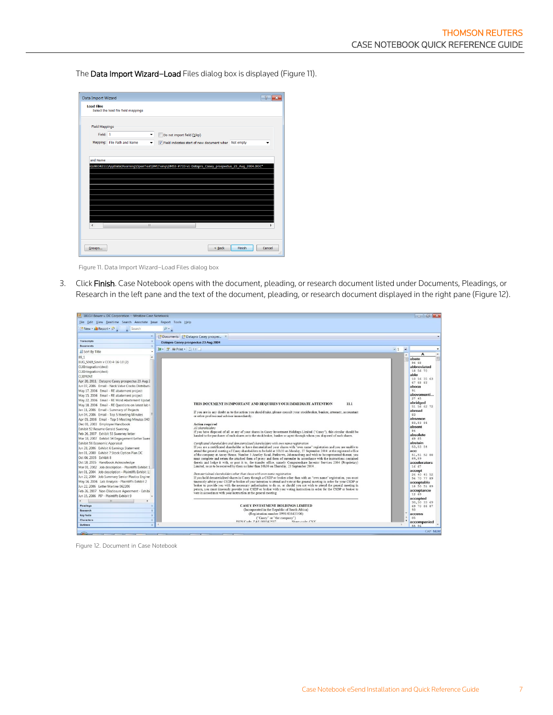The Data Import Wizard–Load Files dialog box is displaye[d \(Figure 11](#page-6-0)).

|                          | Select the load file field mappings |                          |                                                                                                    |   |
|--------------------------|-------------------------------------|--------------------------|----------------------------------------------------------------------------------------------------|---|
| <b>Field Mappings</b>    |                                     |                          |                                                                                                    |   |
| Field: 1                 |                                     |                          |                                                                                                    |   |
|                          |                                     | ۰                        | Do not import field (Skip)                                                                         |   |
|                          | Mapping: File Path and Name         | $\overline{\phantom{a}}$ | V Field indicates start of new document wher Not empty                                             | ÷ |
|                          |                                     |                          |                                                                                                    |   |
|                          |                                     |                          |                                                                                                    |   |
|                          |                                     |                          |                                                                                                    |   |
|                          |                                     |                          |                                                                                                    |   |
|                          |                                     |                          | "b\U0034211\AppData\Roaming\OpenText\DM\Temp\DM53-#733-v1-Datapro_Casey_prospectus_23_Aug_2004.DOC |   |
|                          |                                     |                          |                                                                                                    |   |
|                          |                                     |                          |                                                                                                    |   |
|                          |                                     |                          |                                                                                                    |   |
|                          |                                     |                          |                                                                                                    |   |
|                          |                                     |                          |                                                                                                    |   |
|                          |                                     |                          |                                                                                                    |   |
| and Name                 |                                     |                          |                                                                                                    |   |
|                          |                                     |                          |                                                                                                    |   |
| $\overline{\mathcal{L}}$ |                                     | m                        |                                                                                                    |   |

Figure 11. Data Import Wizard–Load Files dialog box

<span id="page-6-0"></span>3. Click Finish. Case Notebook opens with the document, pleading, or research document listed under Documents, Pleadings, or Research in the left pane and the text of the document, pleading, or research document displayed in the right pane (Figure 12).



Figure 12. Document in Case Notebook